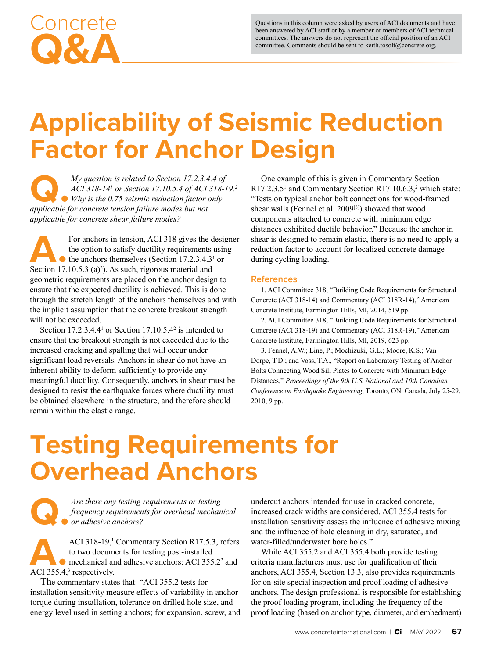Questions in this column were asked by users of ACI documents and have been answered by ACI staff or by a member or members of ACI technical committees. The answers do not represent the official position of an ACI committee. Comments should be sent to keith.tosolt@concrete.org.

# **Applicability of Seismic Reduction Factor for Anchor Design**

*My question is related to Section 17.2.3.4.4 of ACI 318-14' or Section 17.10.5.4 of ACI 318-14' Why is the 0.75 seismic reduction factor only applicable for concrete tension failure modes but not ACI 318-141 or Section 17.10.5.4 of ACI 318-19.2 Why is the 0.75 seismic reduction factor only applicable for concrete tension failure modes but not applicable for concrete shear failure modes?*

For anchors in tension, ACI 318 gives the designer the option to satisfy ductility requirements using the anchors themselves (Section 17.2.3.4.31 or Section 17.10.5.3  $(a)^2$ ). As such, rigorous material and geometric requirements are placed on the anchor design to ensure that the expected ductility is achieved. This is done through the stretch length of the anchors themselves and with the implicit assumption that the concrete breakout strength will not be exceeded.

Section  $17.2.3.4.4<sup>1</sup>$  or Section  $17.10.5.4<sup>2</sup>$  is intended to ensure that the breakout strength is not exceeded due to the increased cracking and spalling that will occur under significant load reversals. Anchors in shear do not have an inherent ability to deform sufficiently to provide any meaningful ductility. Consequently, anchors in shear must be designed to resist the earthquake forces where ductility must be obtained elsewhere in the structure, and therefore should remain within the elastic range.

One example of this is given in Commentary Section  $R17.2.3.5<sup>1</sup>$  and Commentary Section R17.10.6.3,<sup>2</sup> which state: "Tests on typical anchor bolt connections for wood-framed shear walls (Fennel et al. 2009[3]) showed that wood components attached to concrete with minimum edge distances exhibited ductile behavior." Because the anchor in shear is designed to remain elastic, there is no need to apply a reduction factor to account for localized concrete damage during cycling loading.

### **References**

1. ACI Committee 318, "Building Code Requirements for Structural Concrete (ACI 318-14) and Commentary (ACI 318R-14)," American Concrete Institute, Farmington Hills, MI, 2014, 519 pp.

2. ACI Committee 318, "Building Code Requirements for Structural Concrete (ACI 318-19) and Commentary (ACI 318R-19)," American Concrete Institute, Farmington Hills, MI, 2019, 623 pp.

3. Fennel, A.W.; Line, P.; Mochizuki, G.L.; Moore, K.S.; Van Dorpe, T.D.; and Voss, T.A., "Report on Laboratory Testing of Anchor Bolts Connecting Wood Sill Plates to Concrete with Minimum Edge Distances," *Proceedings of the 9th U.S. National and 10th Canadian Conference on Earthquake Engineering*, Toronto, ON, Canada, July 25-29, 2010, 9 pp.

# **Testing Requirements for Overhead Anchors**

**Q.***Are there any testing requirements or testing frequency requirements for overhead mechanical or adhesive anchors?*

ACI 318-19,<sup>1</sup><br>to two documents<br>ACI 355.4,<sup>3</sup> respectively. ACI 318-19,<sup>1</sup> Commentary Section R17.5.3, refers to two documents for testing post-installed mechanical and adhesive anchors: ACI 355.2<sup>2</sup> and

The commentary states that: "ACI 355.2 tests for installation sensitivity measure effects of variability in anchor torque during installation, tolerance on drilled hole size, and energy level used in setting anchors; for expansion, screw, and undercut anchors intended for use in cracked concrete, increased crack widths are considered. ACI 355.4 tests for installation sensitivity assess the influence of adhesive mixing and the influence of hole cleaning in dry, saturated, and water-filled/underwater bore holes."

While ACI 355.2 and ACI 355.4 both provide testing criteria manufacturers must use for qualification of their anchors, ACI 355.4, Section 13.3, also provides requirements for on-site special inspection and proof loading of adhesive anchors. The design professional is responsible for establishing the proof loading program, including the frequency of the proof loading (based on anchor type, diameter, and embedment)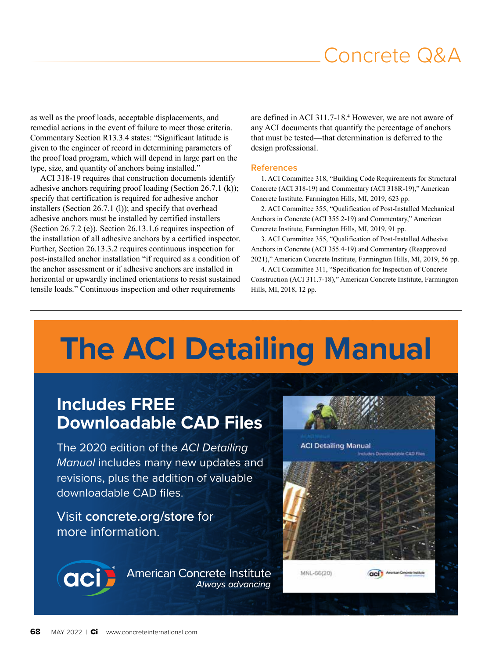## Concrete Q&A

as well as the proof loads, acceptable displacements, and remedial actions in the event of failure to meet those criteria. Commentary Section R13.3.4 states: "Significant latitude is given to the engineer of record in determining parameters of the proof load program, which will depend in large part on the type, size, and quantity of anchors being installed."

ACI 318-19 requires that construction documents identify adhesive anchors requiring proof loading (Section 26.7.1 (k)); specify that certification is required for adhesive anchor installers (Section 26.7.1 (l)); and specify that overhead adhesive anchors must be installed by certified installers (Section 26.7.2 (e)). Section 26.13.1.6 requires inspection of the installation of all adhesive anchors by a certified inspector. Further, Section 26.13.3.2 requires continuous inspection for post-installed anchor installation "if required as a condition of the anchor assessment or if adhesive anchors are installed in horizontal or upwardly inclined orientations to resist sustained tensile loads." Continuous inspection and other requirements

are defined in ACI 311.7-18.<sup>4</sup> However, we are not aware of any ACI documents that quantify the percentage of anchors that must be tested—that determination is deferred to the design professional.

#### **References**

1. ACI Committee 318, "Building Code Requirements for Structural Concrete (ACI 318-19) and Commentary (ACI 318R-19)," American Concrete Institute, Farmington Hills, MI, 2019, 623 pp.

2. ACI Committee 355, "Qualification of Post-Installed Mechanical Anchors in Concrete (ACI 355.2-19) and Commentary," American Concrete Institute, Farmington Hills, MI, 2019, 91 pp.

3. ACI Committee 355, "Qualification of Post-Installed Adhesive Anchors in Concrete (ACI 355.4-19) and Commentary (Reapproved 2021)," American Concrete Institute, Farmington Hills, MI, 2019, 56 pp.

4. ACI Committee 311, "Specification for Inspection of Concrete Construction (ACI 311.7-18)," American Concrete Institute, Farmington Hills, MI, 2018, 12 pp.

# **The ACI Detailing Manual**

## **Includes FREE Downloadable CAD Files**

The 2020 edition of the *ACI Detailing Manual* includes many new updates and revisions, plus the addition of valuable downloadable CAD files.

Visit **concrete.org/store** for more information.

> **American Concrete Institute** Always advancing



aci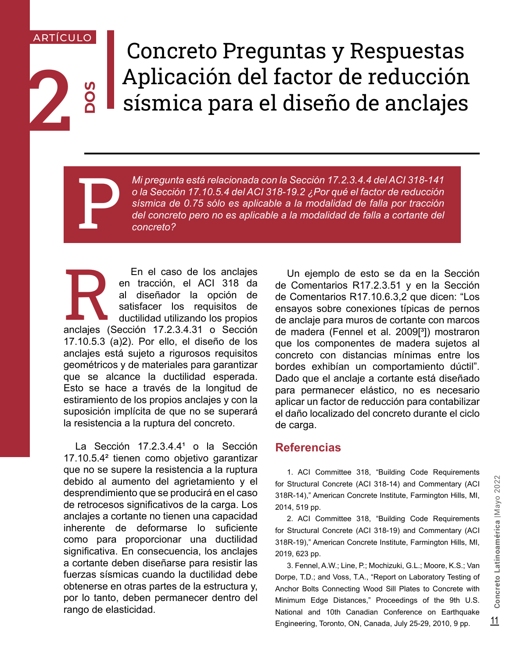## ARTÍCULO

**DOS**

2

# Concreto Preguntas y Respuestas Aplicación del factor de reducción sísmica para el diseño de anclajes

*Mi pregunta está relacionada con la Sección 17.2.3.4.4 del ACI 318-141*<br> *o la Sección 17.10.5.4 del ACI 318-19.2 ¿Por qué el factor de reducción sísmica de 0.75 sólo es aplicable a la modalidad de falla por tracción del o la Sección 17.10.5.4 del ACI 318-19.2 ¿Por qué el factor de reducción sísmica de 0.75 sólo es aplicable a la modalidad de falla por tracción del concreto pero no es aplicable a la modalidad de falla a cortante del concreto?*

En el caso de los anclajes<br>
en tracción, el ACI 318 da<br>
al diseñador la opción de<br>
satisfacer los requisitos de<br>
ductilidad utilizando los propios<br>
anclajes (Sección 17.2.3.4.31 o Sección en tracción, el ACI 318 da al diseñador la opción de satisfacer los requisitos de ductilidad utilizando los propios 17.10.5.3 (a)2). Por ello, el diseño de los anclajes está sujeto a rigurosos requisitos geométricos y de materiales para garantizar que se alcance la ductilidad esperada. Esto se hace a través de la longitud de estiramiento de los propios anclajes y con la suposición implícita de que no se superará la resistencia a la ruptura del concreto.

debido al aumento del agrietamiento y el<br>desprendimiento que se producirá en el caso antes a seguificativos de la carga Los antes a concrete Institute, Farmington Hills, MI,<br>de retroccesos significativos de la carga Los an La Sección  $17.2.3.4.4<sup>1</sup>$  o la Sección 17.10.5.4² tienen como objetivo garantizar que no se supere la resistencia a la ruptura debido al aumento del agrietamiento y el desprendimiento que se producirá en el caso de retrocesos significativos de la carga. Los anclajes a cortante no tienen una capacidad inherente de deformarse lo suficiente como para proporcionar una ductilidad significativa. En consecuencia, los anclajes a cortante deben diseñarse para resistir las fuerzas sísmicas cuando la ductilidad debe obtenerse en otras partes de la estructura y, por lo tanto, deben permanecer dentro del rango de elasticidad.

Un ejemplo de esto se da en la Sección de Comentarios R17.2.3.51 y en la Sección de Comentarios R17.10.6.3,2 que dicen: "Los ensayos sobre conexiones típicas de pernos de anclaje para muros de cortante con marcos de madera (Fennel et al. 2009<sup>[3</sup>]) mostraron que los componentes de madera sujetos al concreto con distancias mínimas entre los bordes exhibían un comportamiento dúctil". Dado que el anclaje a cortante está diseñado para permanecer elástico, no es necesario aplicar un factor de reducción para contabilizar el daño localizado del concreto durante el ciclo de carga.

## **Referencias**

1. ACI Committee 318, "Building Code Requirements for Structural Concrete (ACI 318-14) and Commentary (ACI 318R-14)," American Concrete Institute, Farmington Hills, MI, 2014, 519 pp.

2. ACI Committee 318, "Building Code Requirements for Structural Concrete (ACI 318-19) and Commentary (ACI 318R-19)," American Concrete Institute, Farmington Hills, MI, 2019, 623 pp.

3. Fennel, A.W.; Line, P.; Mochizuki, G.L.; Moore, K.S.; Van Dorpe, T.D.; and Voss, T.A., "Report on Laboratory Testing of Anchor Bolts Connecting Wood Sill Plates to Concrete with Minimum Edge Distances," Proceedings of the 9th U.S. National and 10th Canadian Conference on Earthquake Engineering, Toronto, ON, Canada, July 25-29, 2010, 9 pp.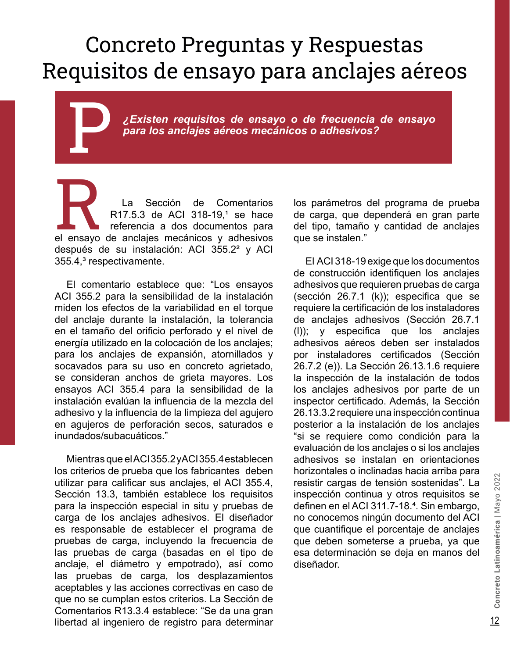# Concreto Preguntas y Respuestas Requisitos de ensayo para anclajes aéreos

P*¿Existen requisitos de ensayo o de frecuencia de ensayo para los anclajes aéreos mecánicos o adhesivos?*

La Sección de Comentarios<br>R17.5.3 de ACI 318-19,1 se hace<br>referencia a dos documentos para<br>el ensayo de anclajes mecánicos y adhesivos R17.5.3 de ACI 318-19,<sup>1</sup> se hace referencia a dos documentos para el ensayo de anclajes mecánicos y adhesivos después de su instalación: ACI 355.2² y ACI 355.4,<sup>3</sup> respectivamente.

El comentario establece que: "Los ensayos ACI 355.2 para la sensibilidad de la instalación miden los efectos de la variabilidad en el torque del anclaje durante la instalación, la tolerancia en el tamaño del orificio perforado y el nivel de energía utilizado en la colocación de los anclajes; para los anclajes de expansión, atornillados y socavados para su uso en concreto agrietado, se consideran anchos de grieta mayores. Los ensayos ACI 355.4 para la sensibilidad de la instalación evalúan la influencia de la mezcla del adhesivo y la influencia de la limpieza del agujero en agujeros de perforación secos, saturados e inundados/subacuáticos."

Mientras que el ACI 355.2 y ACI 355.4 establecen los criterios de prueba que los fabricantes deben utilizar para calificar sus anclajes, el ACI 355.4, Sección 13.3, también establece los requisitos para la inspección especial in situ y pruebas de carga de los anclajes adhesivos. El diseñador es responsable de establecer el programa de pruebas de carga, incluyendo la frecuencia de las pruebas de carga (basadas en el tipo de anclaje, el diámetro y empotrado), así como las pruebas de carga, los desplazamientos aceptables y las acciones correctivas en caso de que no se cumplan estos criterios. La Sección de Comentarios R13.3.4 establece: "Se da una gran libertad al ingeniero de registro para determinar los parámetros del programa de prueba de carga, que dependerá en gran parte del tipo, tamaño y cantidad de anclajes que se instalen."

El ACI 318-19 exige que los documentos de construcción identifiquen los anclajes adhesivos que requieren pruebas de carga (sección 26.7.1 (k)); especifica que se requiere la certificación de los instaladores de anclajes adhesivos (Sección 26.7.1 (l)); y especifica que los anclajes adhesivos aéreos deben ser instalados por instaladores certificados (Sección 26.7.2 (e)). La Sección 26.13.1.6 requiere la inspección de la instalación de todos los anclajes adhesivos por parte de un inspector certificado. Además, la Sección 26.13.3.2 requiere una inspección continua posterior a la instalación de los anclajes "si se requiere como condición para la evaluación de los anclajes o si los anclajes adhesivos se instalan en orientaciones horizontales o inclinadas hacia arriba para resistir cargas de tensión sostenidas". La inspección continua y otros requisitos se definen en el ACI 311.7-18.<sup>4</sup>. Sin embargo, no conocemos ningún documento del ACI que cuantifique el porcentaje de anclajes que deben someterse a prueba, ya que esa determinación se deja en manos del diseñador.